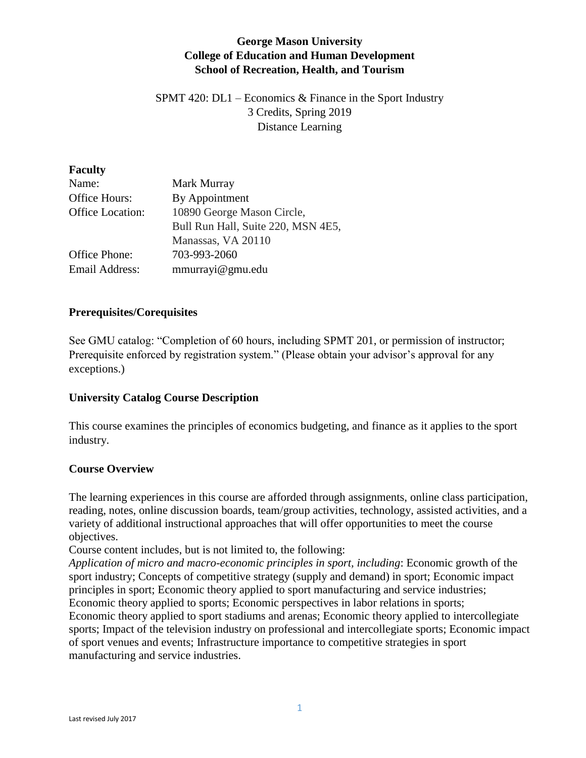## **George Mason University College of Education and Human Development School of Recreation, Health, and Tourism**

SPMT 420: DL1 – Economics & Finance in the Sport Industry 3 Credits, Spring 2019 Distance Learning

#### **Faculty**

| Name:            | Mark Murray                        |
|------------------|------------------------------------|
| Office Hours:    | By Appointment                     |
| Office Location: | 10890 George Mason Circle,         |
|                  | Bull Run Hall, Suite 220, MSN 4E5, |
|                  | Manassas, VA 20110                 |
| Office Phone:    | 703-993-2060                       |
| Email Address:   | mmurrayi@gmu.edu                   |

### **Prerequisites/Corequisites**

See GMU catalog: "Completion of 60 hours, including SPMT 201, or permission of instructor; Prerequisite enforced by registration system." (Please obtain your advisor's approval for any exceptions.)

### **University Catalog Course Description**

This course examines the principles of economics budgeting, and finance as it applies to the sport industry.

### **Course Overview**

The learning experiences in this course are afforded through assignments, online class participation, reading, notes, online discussion boards, team/group activities, technology, assisted activities, and a variety of additional instructional approaches that will offer opportunities to meet the course objectives.

Course content includes, but is not limited to, the following:

*Application of micro and macro-economic principles in sport, including*: Economic growth of the sport industry; Concepts of competitive strategy (supply and demand) in sport; Economic impact principles in sport; Economic theory applied to sport manufacturing and service industries; Economic theory applied to sports; Economic perspectives in labor relations in sports;

Economic theory applied to sport stadiums and arenas; Economic theory applied to intercollegiate sports; Impact of the television industry on professional and intercollegiate sports; Economic impact of sport venues and events; Infrastructure importance to competitive strategies in sport manufacturing and service industries.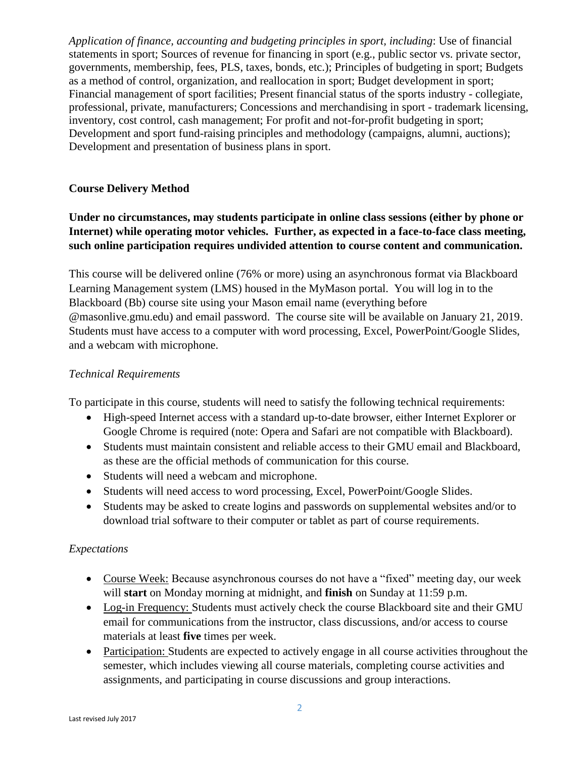*Application of finance, accounting and budgeting principles in sport, including*: Use of financial statements in sport; Sources of revenue for financing in sport (e.g., public sector vs. private sector, governments, membership, fees, PLS, taxes, bonds, etc.); Principles of budgeting in sport; Budgets as a method of control, organization, and reallocation in sport; Budget development in sport; Financial management of sport facilities; Present financial status of the sports industry - collegiate, professional, private, manufacturers; Concessions and merchandising in sport - trademark licensing, inventory, cost control, cash management; For profit and not-for-profit budgeting in sport; Development and sport fund-raising principles and methodology (campaigns, alumni, auctions); Development and presentation of business plans in sport.

### **Course Delivery Method**

# **Under no circumstances, may students participate in online class sessions (either by phone or Internet) while operating motor vehicles. Further, as expected in a face-to-face class meeting, such online participation requires undivided attention to course content and communication.**

This course will be delivered online (76% or more) using an asynchronous format via Blackboard Learning Management system (LMS) housed in the MyMason portal. You will log in to the Blackboard (Bb) course site using your Mason email name (everything before @masonlive.gmu.edu) and email password. The course site will be available on January 21, 2019. Students must have access to a computer with word processing, Excel, PowerPoint/Google Slides, and a webcam with microphone.

### *Technical Requirements*

To participate in this course, students will need to satisfy the following technical requirements:

- High-speed Internet access with a standard up-to-date browser, either Internet Explorer or Google Chrome is required (note: Opera and Safari are not compatible with Blackboard).
- Students must maintain consistent and reliable access to their GMU email and Blackboard, as these are the official methods of communication for this course.
- Students will need a webcam and microphone.
- Students will need access to word processing, Excel, PowerPoint/Google Slides.
- Students may be asked to create logins and passwords on supplemental websites and/or to download trial software to their computer or tablet as part of course requirements.

### *Expectations*

- Course Week: Because asynchronous courses do not have a "fixed" meeting day, our week will **start** on Monday morning at midnight, and **finish** on Sunday at 11:59 p.m.
- Log-in Frequency: Students must actively check the course Blackboard site and their GMU email for communications from the instructor, class discussions, and/or access to course materials at least **five** times per week.
- Participation: Students are expected to actively engage in all course activities throughout the semester, which includes viewing all course materials, completing course activities and assignments, and participating in course discussions and group interactions.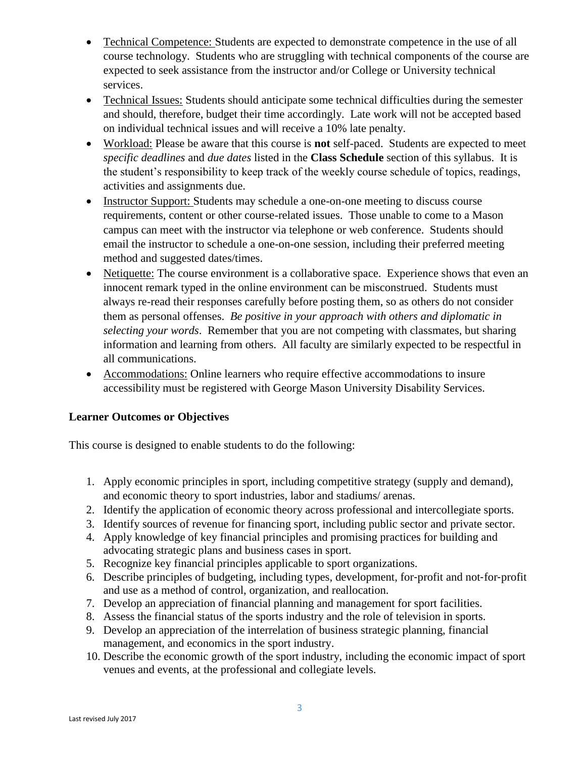- Technical Competence: Students are expected to demonstrate competence in the use of all course technology. Students who are struggling with technical components of the course are expected to seek assistance from the instructor and/or College or University technical services.
- Technical Issues: Students should anticipate some technical difficulties during the semester and should, therefore, budget their time accordingly. Late work will not be accepted based on individual technical issues and will receive a 10% late penalty.
- Workload: Please be aware that this course is **not** self-paced. Students are expected to meet *specific deadlines* and *due dates* listed in the **Class Schedule** section of this syllabus. It is the student's responsibility to keep track of the weekly course schedule of topics, readings, activities and assignments due.
- Instructor Support: Students may schedule a one-on-one meeting to discuss course requirements, content or other course-related issues. Those unable to come to a Mason campus can meet with the instructor via telephone or web conference. Students should email the instructor to schedule a one-on-one session, including their preferred meeting method and suggested dates/times.
- Netiquette: The course environment is a collaborative space. Experience shows that even an innocent remark typed in the online environment can be misconstrued. Students must always re-read their responses carefully before posting them, so as others do not consider them as personal offenses. *Be positive in your approach with others and diplomatic in selecting your words*. Remember that you are not competing with classmates, but sharing information and learning from others. All faculty are similarly expected to be respectful in all communications.
- Accommodations: Online learners who require effective accommodations to insure accessibility must be registered with George Mason University Disability Services.

## **Learner Outcomes or Objectives**

This course is designed to enable students to do the following:

- 1. Apply economic principles in sport, including competitive strategy (supply and demand), and economic theory to sport industries, labor and stadiums/ arenas.
- 2. Identify the application of economic theory across professional and intercollegiate sports.
- 3. Identify sources of revenue for financing sport, including public sector and private sector.
- 4. Apply knowledge of key financial principles and promising practices for building and advocating strategic plans and business cases in sport.
- 5. Recognize key financial principles applicable to sport organizations.
- 6. Describe principles of budgeting, including types, development, for‐profit and not‐for‐profit and use as a method of control, organization, and reallocation.
- 7. Develop an appreciation of financial planning and management for sport facilities.
- 8. Assess the financial status of the sports industry and the role of television in sports.
- 9. Develop an appreciation of the interrelation of business strategic planning, financial management, and economics in the sport industry.
- 10. Describe the economic growth of the sport industry, including the economic impact of sport venues and events, at the professional and collegiate levels.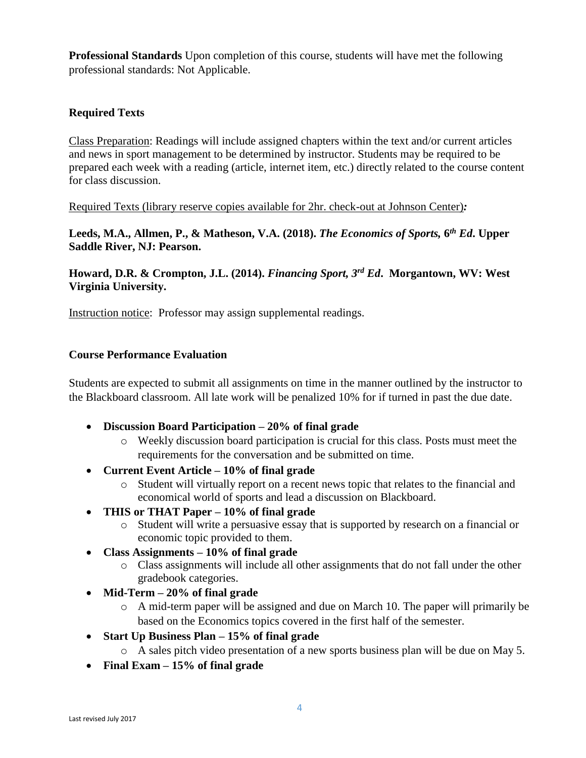**Professional Standards** Upon completion of this course, students will have met the following professional standards: Not Applicable.

## **Required Texts**

Class Preparation: Readings will include assigned chapters within the text and/or current articles and news in sport management to be determined by instructor. Students may be required to be prepared each week with a reading (article, internet item, etc.) directly related to the course content for class discussion.

Required Texts (library reserve copies available for 2hr. check-out at Johnson Center)*:* 

**Leeds, M.A., Allmen, P., & Matheson, V.A. (2018).** *The Economics of Sports,* **6** *th Ed***. Upper Saddle River, NJ: Pearson.**

**Howard, D.R. & Crompton, J.L. (2014).** *Financing Sport, 3rd Ed***. Morgantown, WV: West Virginia University.**

Instruction notice: Professor may assign supplemental readings.

### **Course Performance Evaluation**

Students are expected to submit all assignments on time in the manner outlined by the instructor to the Blackboard classroom. All late work will be penalized 10% for if turned in past the due date.

- **Discussion Board Participation – 20% of final grade**
	- o Weekly discussion board participation is crucial for this class. Posts must meet the requirements for the conversation and be submitted on time.
- **Current Event Article – 10% of final grade**
	- o Student will virtually report on a recent news topic that relates to the financial and economical world of sports and lead a discussion on Blackboard.
- **THIS or THAT Paper – 10% of final grade**
	- o Student will write a persuasive essay that is supported by research on a financial or economic topic provided to them.
- **Class Assignments – 10% of final grade**
	- o Class assignments will include all other assignments that do not fall under the other gradebook categories.
- **Mid-Term – 20% of final grade**
	- o A mid-term paper will be assigned and due on March 10. The paper will primarily be based on the Economics topics covered in the first half of the semester.
- **Start Up Business Plan – 15% of final grade**
	- o A sales pitch video presentation of a new sports business plan will be due on May 5.
- **Final Exam – 15% of final grade**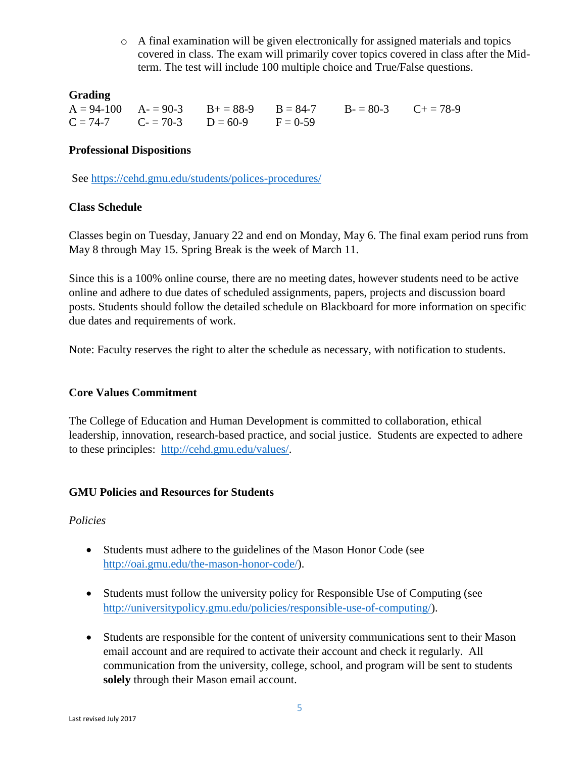$\circ$  A final examination will be given electronically for assigned materials and topics covered in class. The exam will primarily cover topics covered in class after the Midterm. The test will include 100 multiple choice and True/False questions.

#### **Grading**

 $A = 94-100$   $A = 90-3$   $B = 88-9$   $B = 84-7$   $B = 80-3$   $C = 78-9$  $C = 74-7$   $C = 70-3$   $D = 60-9$   $F = 0-59$ 

#### **Professional Dispositions**

See<https://cehd.gmu.edu/students/polices-procedures/>

### **Class Schedule**

Classes begin on Tuesday, January 22 and end on Monday, May 6. The final exam period runs from May 8 through May 15. Spring Break is the week of March 11.

Since this is a 100% online course, there are no meeting dates, however students need to be active online and adhere to due dates of scheduled assignments, papers, projects and discussion board posts. Students should follow the detailed schedule on Blackboard for more information on specific due dates and requirements of work.

Note: Faculty reserves the right to alter the schedule as necessary, with notification to students.

### **Core Values Commitment**

The College of Education and Human Development is committed to collaboration, ethical leadership, innovation, research-based practice, and social justice. Students are expected to adhere to these principles: [http://cehd.gmu.edu/values/.](http://cehd.gmu.edu/values/)

### **GMU Policies and Resources for Students**

### *Policies*

- Students must adhere to the guidelines of the Mason Honor Code (see [http://oai.gmu.edu/the-mason-honor-code/\)](http://oai.gmu.edu/the-mason-honor-code/).
- Students must follow the university policy for Responsible Use of Computing (see [http://universitypolicy.gmu.edu/policies/responsible-use-of-computing/\)](http://universitypolicy.gmu.edu/policies/responsible-use-of-computing/).
- Students are responsible for the content of university communications sent to their Mason email account and are required to activate their account and check it regularly. All communication from the university, college, school, and program will be sent to students **solely** through their Mason email account.